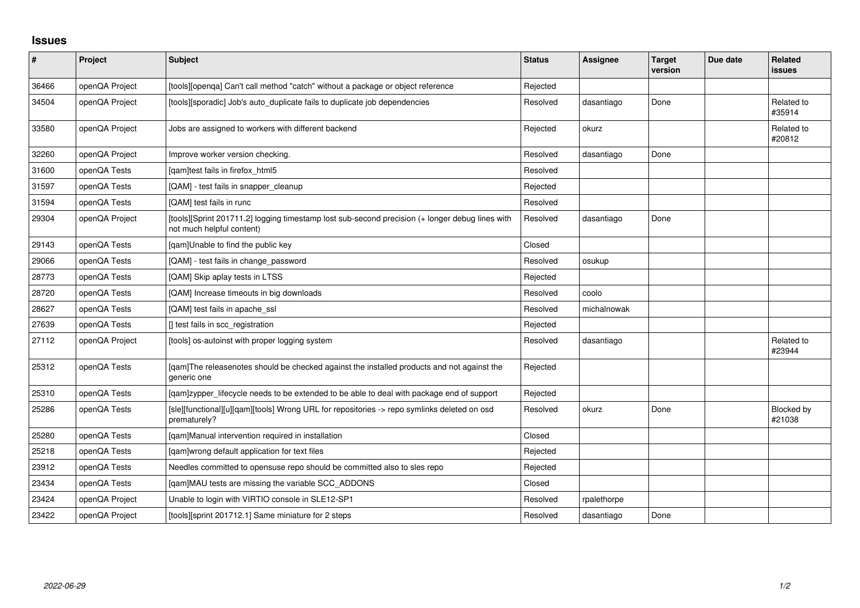## **Issues**

| $\vert$ # | Project        | <b>Subject</b>                                                                                                               | <b>Status</b> | <b>Assignee</b> | <b>Target</b><br>version | Due date | Related<br>issues    |
|-----------|----------------|------------------------------------------------------------------------------------------------------------------------------|---------------|-----------------|--------------------------|----------|----------------------|
| 36466     | openQA Project | [tools][openqa] Can't call method "catch" without a package or object reference                                              | Rejected      |                 |                          |          |                      |
| 34504     | openQA Project | [tools][sporadic] Job's auto_duplicate fails to duplicate job dependencies                                                   | Resolved      | dasantiago      | Done                     |          | Related to<br>#35914 |
| 33580     | openQA Project | Jobs are assigned to workers with different backend                                                                          | Rejected      | okurz           |                          |          | Related to<br>#20812 |
| 32260     | openQA Project | Improve worker version checking.                                                                                             | Resolved      | dasantiago      | Done                     |          |                      |
| 31600     | openQA Tests   | [qam]test fails in firefox_html5                                                                                             | Resolved      |                 |                          |          |                      |
| 31597     | openQA Tests   | [QAM] - test fails in snapper_cleanup                                                                                        | Rejected      |                 |                          |          |                      |
| 31594     | openQA Tests   | [QAM] test fails in runc                                                                                                     | Resolved      |                 |                          |          |                      |
| 29304     | openQA Project | [tools][Sprint 201711.2] logging timestamp lost sub-second precision (+ longer debug lines with<br>not much helpful content) | Resolved      | dasantiago      | Done                     |          |                      |
| 29143     | openQA Tests   | [qam]Unable to find the public key                                                                                           | Closed        |                 |                          |          |                      |
| 29066     | openQA Tests   | [QAM] - test fails in change_password                                                                                        | Resolved      | osukup          |                          |          |                      |
| 28773     | openQA Tests   | [QAM] Skip aplay tests in LTSS                                                                                               | Rejected      |                 |                          |          |                      |
| 28720     | openQA Tests   | [QAM] Increase timeouts in big downloads                                                                                     | Resolved      | coolo           |                          |          |                      |
| 28627     | openQA Tests   | [QAM] test fails in apache_ssl                                                                                               | Resolved      | michalnowak     |                          |          |                      |
| 27639     | openQA Tests   | [] test fails in scc_registration                                                                                            | Rejected      |                 |                          |          |                      |
| 27112     | openQA Project | [tools] os-autoinst with proper logging system                                                                               | Resolved      | dasantiago      |                          |          | Related to<br>#23944 |
| 25312     | openQA Tests   | [gam]The releasenotes should be checked against the installed products and not against the<br>generic one                    | Rejected      |                 |                          |          |                      |
| 25310     | openQA Tests   | [qam]zypper_lifecycle needs to be extended to be able to deal with package end of support                                    | Rejected      |                 |                          |          |                      |
| 25286     | openQA Tests   | [sle][functional][u][qam][tools] Wrong URL for repositories -> repo symlinks deleted on osd<br>prematurely?                  | Resolved      | okurz           | Done                     |          | Blocked by<br>#21038 |
| 25280     | openQA Tests   | [qam]Manual intervention required in installation                                                                            | Closed        |                 |                          |          |                      |
| 25218     | openQA Tests   | [qam]wrong default application for text files                                                                                | Rejected      |                 |                          |          |                      |
| 23912     | openQA Tests   | Needles committed to opensuse repo should be committed also to sles repo                                                     | Rejected      |                 |                          |          |                      |
| 23434     | openQA Tests   | [qam]MAU tests are missing the variable SCC_ADDONS                                                                           | Closed        |                 |                          |          |                      |
| 23424     | openQA Project | Unable to login with VIRTIO console in SLE12-SP1                                                                             | Resolved      | rpalethorpe     |                          |          |                      |
| 23422     | openQA Project | [tools][sprint 201712.1] Same miniature for 2 steps                                                                          | Resolved      | dasantiago      | Done                     |          |                      |